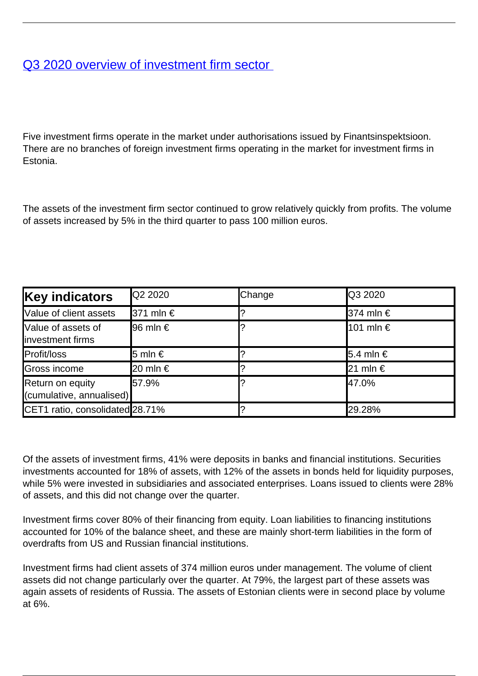## [Q3 2020 overview of investment firm sector](/en/publications/q3-2020-overview-investment-firm-sector)

Five investment firms operate in the market under authorisations issued by Finantsinspektsioon. There are no branches of foreign investment firms operating in the market for investment firms in Estonia.

The assets of the investment firm sector continued to grow relatively quickly from profits. The volume of assets increased by 5% in the third quarter to pass 100 million euros.

| <b>Key indicators</b>                        | <b>Q2 2020</b>    | Change | <b>Q3 2020</b>         |
|----------------------------------------------|-------------------|--------|------------------------|
| Value of client assets                       | <b>371 mln €</b>  |        | <b>374 mln</b> €       |
| Value of assets of<br>investment firms       | <b>I</b> 96 mIn € |        | $101$ mln €            |
| Profit/loss                                  | l5 mln €          |        | <b>5.4 mln</b> €       |
| Gross income                                 | <b>20 mln</b> €   |        | $ 21 \text{ min } \in$ |
| Return on equity<br>(cumulative, annualised) | 157.9%            |        | 47.0%                  |
| CET1 ratio, consolidated 28.71%              |                   |        | 29.28%                 |

Of the assets of investment firms, 41% were deposits in banks and financial institutions. Securities investments accounted for 18% of assets, with 12% of the assets in bonds held for liquidity purposes, while 5% were invested in subsidiaries and associated enterprises. Loans issued to clients were 28% of assets, and this did not change over the quarter.

Investment firms cover 80% of their financing from equity. Loan liabilities to financing institutions accounted for 10% of the balance sheet, and these are mainly short-term liabilities in the form of overdrafts from US and Russian financial institutions.

Investment firms had client assets of 374 million euros under management. The volume of client assets did not change particularly over the quarter. At 79%, the largest part of these assets was again assets of residents of Russia. The assets of Estonian clients were in second place by volume at 6%.